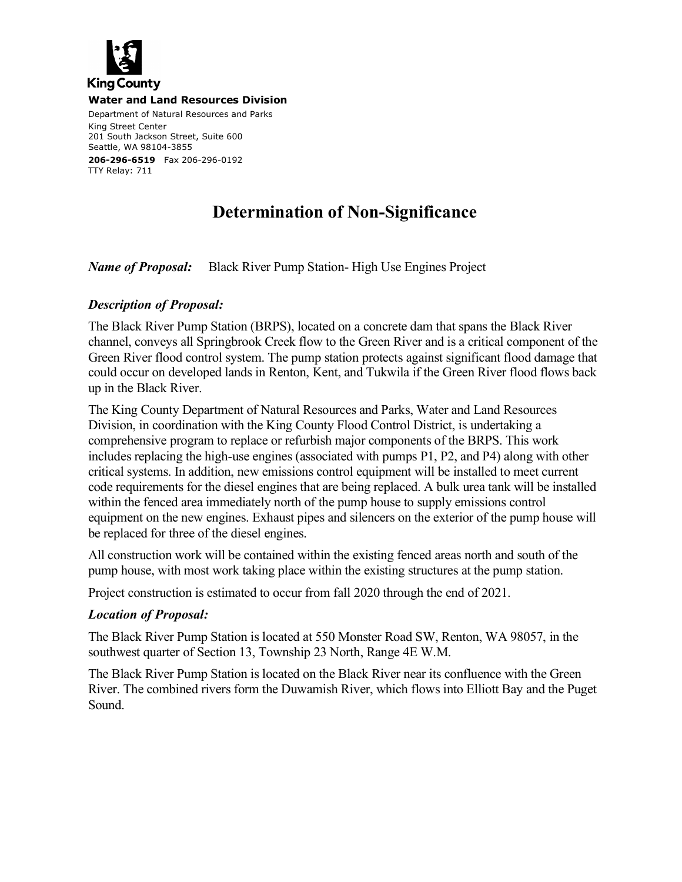

**Water and Land Resources Division**

Department of Natural Resources and Parks King Street Center 201 South Jackson Street, Suite 600 Seattle, WA 98104-3855 **206-296-6519** Fax 206-296-0192 TTY Relay: 711

## **Determination of Non-Significance**

*Name of Proposal:* Black River Pump Station- High Use Engines Project

## *Description of Proposal:*

The Black River Pump Station (BRPS), located on a concrete dam that spans the Black River channel, conveys all Springbrook Creek flow to the Green River and is a critical component of the Green River flood control system. The pump station protects against significant flood damage that could occur on developed lands in Renton, Kent, and Tukwila if the Green River flood flows back up in the Black River.

The King County Department of Natural Resources and Parks, Water and Land Resources Division, in coordination with the King County Flood Control District, is undertaking a comprehensive program to replace or refurbish major components of the BRPS. This work includes replacing the high-use engines (associated with pumps P1, P2, and P4) along with other critical systems. In addition, new emissions control equipment will be installed to meet current code requirements for the diesel engines that are being replaced. A bulk urea tank will be installed within the fenced area immediately north of the pump house to supply emissions control equipment on the new engines. Exhaust pipes and silencers on the exterior of the pump house will be replaced for three of the diesel engines.

All construction work will be contained within the existing fenced areas north and south of the pump house, with most work taking place within the existing structures at the pump station.

Project construction is estimated to occur from fall 2020 through the end of 2021.

## *Location of Proposal:*

The Black River Pump Station is located at 550 Monster Road SW, Renton, WA 98057, in the southwest quarter of Section 13, Township 23 North, Range 4E W.M.

The Black River Pump Station is located on the Black River near its confluence with the Green River. The combined rivers form the Duwamish River, which flows into Elliott Bay and the Puget Sound.